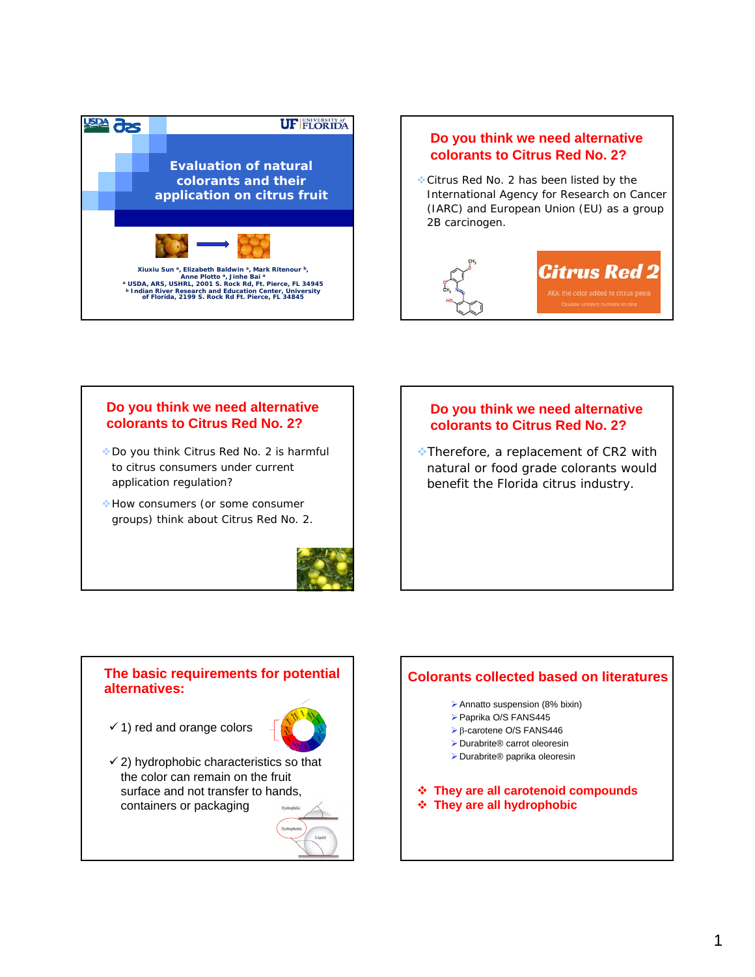

# **Introduction Do you think we need alternative colorants to Citrus Red No. 2?**

Citrus Red No. 2 has been listed by the International Agency for Research on Cancer (IARC) and European Union (EU) as a group 2B carcinogen.



# **Do you think we need alternative colorants to Citrus Red No. 2?**

- Do you think Citrus Red No. 2 is harmful to citrus consumers under current application regulation?
- How consumers (or some consumer groups) think about Citrus Red No. 2.



# **Introduction Do you think we need alternative colorants to Citrus Red No. 2?**

Therefore, a replacement of CR2 with natural or food grade colorants would benefit the Florida citrus industry.

### **The basic requirements for potential alternatives:**

 $\checkmark$  1) red and orange colors



 $\checkmark$  2) hydrophobic characteristics so that the color can remain on the fruit surface and not transfer to hands, containers or packaging



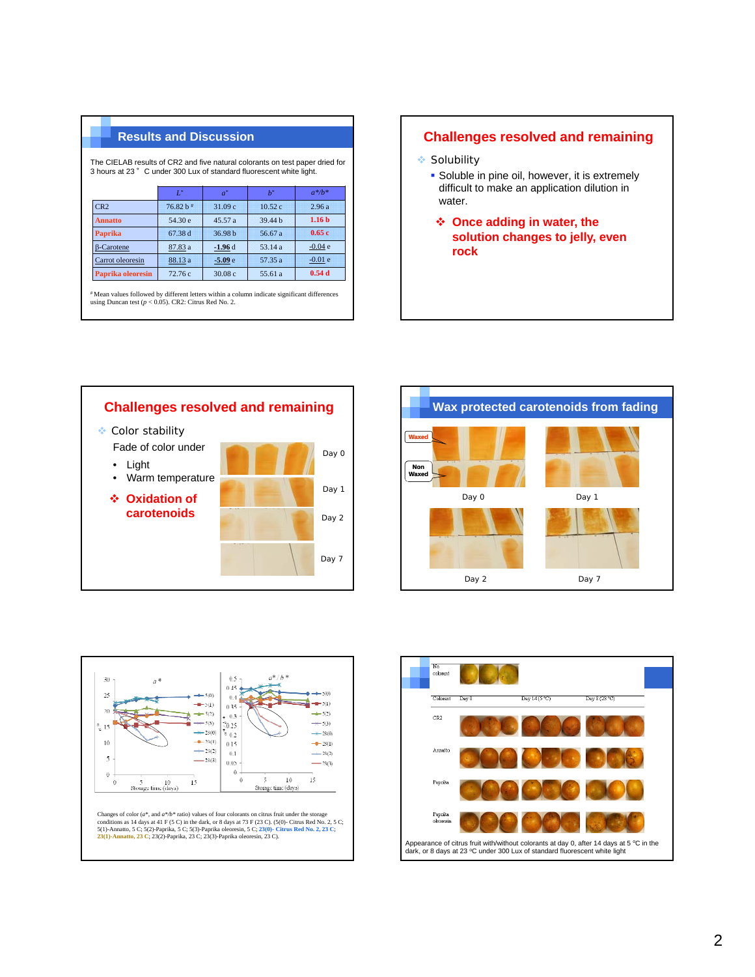The CIELAB results of CR2 and five natural colorants on test paper dried for 3 hours at 23 °C under 300 Lux of standard fluorescent white light.

|                   | $L^*$                  | $a^*$    | $h^*$   | $a^*/b^*$         |
|-------------------|------------------------|----------|---------|-------------------|
| CR <sub>2</sub>   | $76.82 h$ <sup>#</sup> | 31.09c   | 10.52c  | 2.96a             |
| <b>Annatto</b>    | 54.30 e                | 45.57a   | 39.44 h | 1.16 <sub>b</sub> |
| <b>Paprika</b>    | 67.38 d                | 36.98 h  | 56.67 a | 0.65c             |
| $\beta$ -Carotene | 87.83 a                | $-1.96d$ | 53.14 a | $-0.04e$          |
| Carrot oleoresin  | 88.13 a                | $-5.09e$ | 57.35 a | $-0.01e$          |
| Paprika oleoresin | 72.76c                 | 30.08 c  | 55.61 a | 0.54d             |

# Mean values followed by different letters within a column indicate significant differences using Duncan test (*p* < 0.05). CR2: Citrus Red No. 2.

### **Results and Discussion Challenges resolved and remaining**

- **Solubility** 
	- **Soluble in pine oil, however, it is extremely** difficult to make an application dilution in water.
	- **Once adding in water, the solution changes to jelly, even rock**